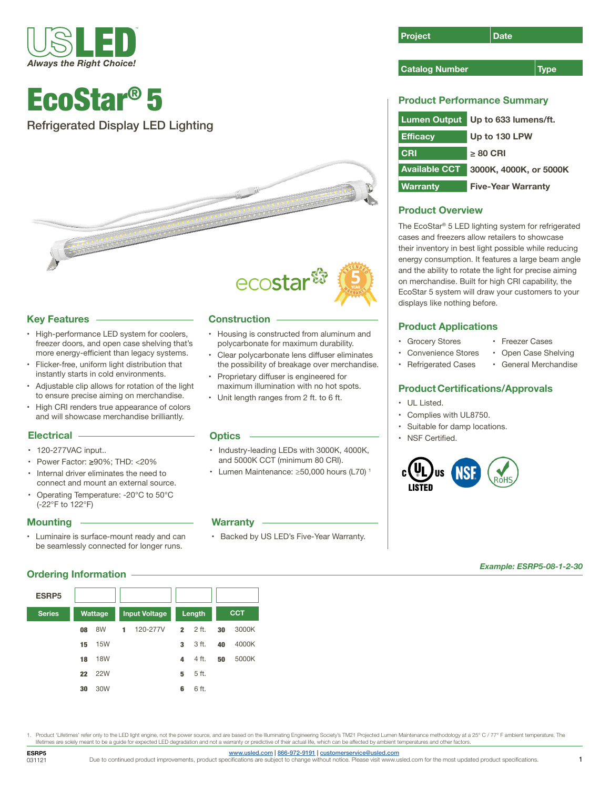

## EcoStar® 5

Refrigerated Display LED Lighting





#### **Key Features**

- High-performance LED system for coolers, freezer doors, and open case shelving that's more energy-efficient than legacy systems.
- Flicker-free, uniform light distribution that instantly starts in cold environments.
- Adjustable clip allows for rotation of the light to ensure precise aiming on merchandise.
- High CRI renders true appearance of colors and will showcase merchandise brilliantly.

#### **Electrical**

- 120-277VAC input..
- Power Factor: **≥**90%; THD: <20%
- Internal driver eliminates the need to connect and mount an external source.
- Operating Temperature: -20°C to 50°C (-22°F to 122°F)

#### **Mounting**

• Luminaire is surface-mount ready and can be seamlessly connected for longer runs.

#### **Ordering Information**

| <b>ESRP5</b>  |         |            |                      |          |              |       |            |       |
|---------------|---------|------------|----------------------|----------|--------------|-------|------------|-------|
| <b>Series</b> | Wattage |            | <b>Input Voltage</b> |          | Length       |       | <b>CCT</b> |       |
|               | 08      | 8W         | 1                    | 120-277V | $\mathbf{2}$ | 2 ft. | 30         | 3000K |
|               | 15      | <b>15W</b> |                      |          | 3            | 3 ft. | 40         | 4000K |
|               | 18      | <b>18W</b> |                      |          | 4            | 4 ft. | 50         | 5000K |
|               | 22      | <b>22W</b> |                      |          | 5            | 5 ft. |            |       |
|               | 30      | 30W        |                      |          | 6            | 6 ft. |            |       |

#### **Construction**

- Housing is constructed from aluminum and polycarbonate for maximum durability.
- Clear polycarbonate lens diffuser eliminates the possibility of breakage over merchandise.
- Proprietary diffuser is engineered for maximum illumination with no hot spots.
- Unit length ranges from 2 ft. to 6 ft.

#### **Optics**

- Industry-leading LEDs with 3000K, 4000K, and 5000K CCT (minimum 80 CRI).
- Lumen Maintenance: ≥50,000 hours (L70) 1

#### **Warranty**

• Backed by US LED's Five-Year Warranty.

| Project | Date |
|---------|------|
|---------|------|

#### **Catalog Number Type**

### **Product Performance Summary**

| <b>Lumen Output</b>  | Up to 633 lumens/ft.      |
|----------------------|---------------------------|
| <b>Efficacy</b>      | Up to 130 LPW             |
| <b>CRI</b>           | > 80 CRI                  |
| <b>Available CCT</b> | 3000K, 4000K, or 5000K    |
| <b>Warranty</b>      | <b>Five-Year Warranty</b> |

## **Product Overview**

The EcoStar® 5 LED lighting system for refrigerated cases and freezers allow retailers to showcase their inventory in best light possible while reducing energy consumption. It features a large beam angle and the ability to rotate the light for precise aiming on merchandise. Built for high CRI capability, the EcoStar 5 system will draw your customers to your displays like nothing before.

## **Product Applications**

• Grocery Stores • Convenience Stores

• Refrigerated Cases

- Freezer Cases • Open Case Shelving
- 
- General Merchandise

## **Product Certifications/Approvals**

- UL Listed.
- Complies with UL8750.
- Suitable for damp locations.
- NSF Certified.



*Example: ESRP5-08-1-2-30*

Product 'Lifetimes' refer only to the LED light engine, not the power source, and are based on the Illuminating Engineering Society's TM21 Projected Lumen Maintenance methodology at a 25° C / 77° F ambient temperature. The lifetimes are solely meant to be a guide for expected LED degradation and not a warranty or predictive of their actual life, which can be affected by ambient temperatures and other factors.